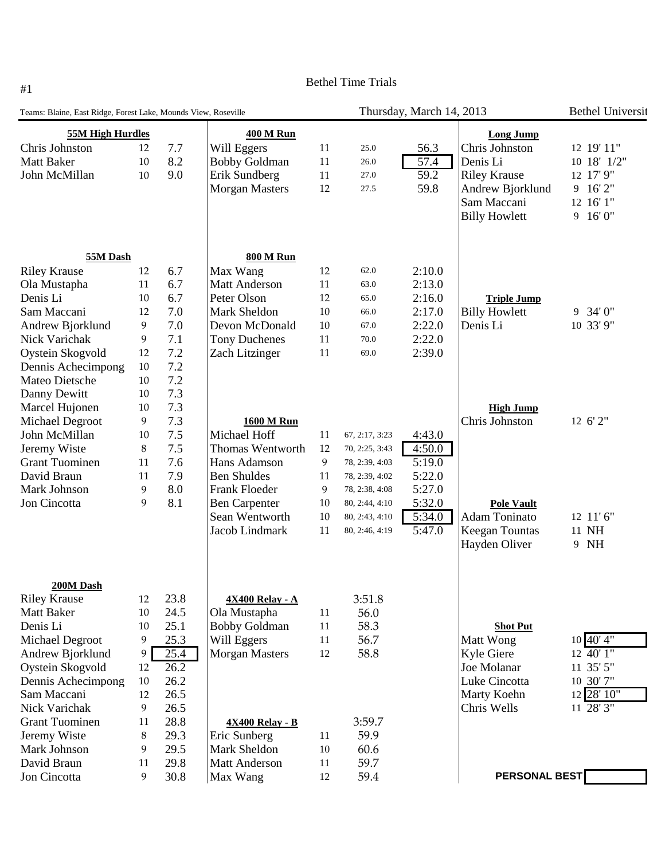| Teams: Blaine, East Ridge, Forest Lake, Mounds View, Roseville |       |                  |                        |        | Thursday, March 14, 2013 | <b>Bethel Universit</b> |                                    |                        |
|----------------------------------------------------------------|-------|------------------|------------------------|--------|--------------------------|-------------------------|------------------------------------|------------------------|
| <b>55M High Hurdles</b>                                        |       | <b>400 M Run</b> |                        |        |                          | <b>Long Jump</b>        |                                    |                        |
| Chris Johnston                                                 | 12    | 7.7              | Will Eggers            | 11     | 25.0                     | 56.3                    | Chris Johnston                     | 12 19' 11"             |
| <b>Matt Baker</b>                                              | 10    | 8.2              | <b>Bobby Goldman</b>   | 11     | 26.0                     | 57.4                    | Denis Li                           | 10 18' 1/2"            |
| John McMillan                                                  | 10    | 9.0              | Erik Sundberg          | 11     | 27.0                     | 59.2                    | <b>Riley Krause</b>                | 12 17' 9"              |
|                                                                |       |                  | <b>Morgan Masters</b>  | 12     | 27.5                     | 59.8                    | Andrew Bjorklund                   | 9 16'2"                |
|                                                                |       |                  |                        |        |                          |                         | Sam Maccani                        | 12 16' 1"              |
|                                                                |       |                  |                        |        |                          |                         | <b>Billy Howlett</b>               | 9 16'0"                |
| 55M Dash                                                       |       |                  | <b>800 M Run</b>       |        |                          |                         |                                    |                        |
| <b>Riley Krause</b>                                            | 12    | 6.7              | Max Wang               | 12     | 62.0                     | 2:10.0                  |                                    |                        |
| Ola Mustapha                                                   | 11    | 6.7              | Matt Anderson          | 11     | 63.0                     | 2:13.0                  |                                    |                        |
| Denis Li                                                       | 10    | 6.7              | Peter Olson            | 12     | 65.0                     | 2:16.0                  | <b>Triple Jump</b>                 |                        |
| Sam Maccani                                                    | 12    | 7.0              | Mark Sheldon           | $10\,$ | 66.0                     | 2:17.0                  | <b>Billy Howlett</b>               | 9 34'0"                |
| Andrew Bjorklund                                               | 9     | 7.0              | Devon McDonald         | 10     | 67.0                     | 2:22.0                  | Denis Li                           | 10 33' 9"              |
| Nick Varichak                                                  | 9     | 7.1              | <b>Tony Duchenes</b>   | 11     | 70.0                     | 2:22.0                  |                                    |                        |
| Oystein Skogvold                                               | 12    | 7.2              | Zach Litzinger         | 11     | 69.0                     | 2:39.0                  |                                    |                        |
| Dennis Achecimpong                                             | 10    | 7.2              |                        |        |                          |                         |                                    |                        |
| Mateo Dietsche                                                 | 10    | 7.2              |                        |        |                          |                         |                                    |                        |
| Danny Dewitt                                                   | 10    | 7.3              |                        |        |                          |                         |                                    |                        |
| Marcel Hujonen                                                 | 10    | 7.3              |                        |        |                          |                         | <b>High Jump</b>                   |                        |
| <b>Michael Degroot</b>                                         | 9     | 7.3              | <b>1600 M Run</b>      |        |                          |                         | Chris Johnston                     | 12 6'2"                |
| John McMillan                                                  | 10    | 7.5              | Michael Hoff           | 11     | 67, 2:17, 3:23           | 4:43.0                  |                                    |                        |
| Jeremy Wiste                                                   | $8\,$ | 7.5              | Thomas Wentworth       | 12     | 70, 2:25, 3:43           | 4:50.0                  |                                    |                        |
| <b>Grant Tuominen</b>                                          | 11    | 7.6              | Hans Adamson           | 9      | 78, 2:39, 4:03           | 5:19.0                  |                                    |                        |
| David Braun                                                    | 11    | 7.9              | <b>Ben Shuldes</b>     | 11     | 78, 2:39, 4:02           | 5:22.0                  |                                    |                        |
| Mark Johnson                                                   | 9     | 8.0              | Frank Floeder          | 9      | 78, 2:38, 4:08           | 5:27.0                  |                                    |                        |
| Jon Cincotta                                                   | 9     | 8.1              | <b>Ben Carpenter</b>   | 10     | 80, 2:44, 4:10           | 5:32.0                  |                                    |                        |
|                                                                |       |                  | Sean Wentworth         | 10     | 80, 2:43, 4:10           | 5:34.0                  | <b>Pole Vault</b><br>Adam Toninato | 12 11'6"               |
|                                                                |       |                  | Jacob Lindmark         | 11     |                          | 5:47.0                  |                                    | 11 NH                  |
|                                                                |       |                  |                        |        | 80, 2:46, 4:19           |                         | Keegan Tountas<br>Hayden Oliver    | 9 NH                   |
|                                                                |       |                  |                        |        |                          |                         |                                    |                        |
| 200M Dash                                                      |       |                  |                        |        |                          |                         |                                    |                        |
| <b>Riley Krause</b>                                            | 12    | 23.8             | <b>4X400 Relay - A</b> |        | 3:51.8                   |                         |                                    |                        |
| Matt Baker                                                     | 10    | 24.5             | Ola Mustapha           | 11     | 56.0                     |                         |                                    |                        |
| Denis Li                                                       | 10    | 25.1             | <b>Bobby Goldman</b>   | 11     | 58.3                     |                         | <b>Shot Put</b>                    |                        |
| Michael Degroot                                                | 9     | 25.3             | Will Eggers            | 11     | 56.7                     |                         | Matt Wong                          | 10 40' 4"              |
| Andrew Bjorklund                                               | 9     | 25.4             | <b>Morgan Masters</b>  | 12     | 58.8                     |                         | Kyle Giere                         | 12 40' 1"              |
| Oystein Skogvold                                               | 12    | 26.2             |                        |        |                          |                         | Joe Molanar                        | 11 35' 5"              |
| Dennis Achecimpong                                             | 10    | 26.2             |                        |        |                          |                         | Luke Cincotta                      | 10 30'7"               |
| Sam Maccani                                                    | 12    | 26.5             |                        |        |                          |                         | Marty Koehn                        | $12\overline{28'10''}$ |
| Nick Varichak                                                  | 9     | 26.5             |                        |        |                          |                         | Chris Wells                        | $11\overline{28'3''}$  |
| <b>Grant Tuominen</b>                                          | 11    | 28.8             | <b>4X400 Relay - B</b> |        | 3:59.7                   |                         |                                    |                        |
| Jeremy Wiste                                                   | 8     | 29.3             | Eric Sunberg           | 11     | 59.9                     |                         |                                    |                        |
| Mark Johnson                                                   | 9     | 29.5             | Mark Sheldon           | $10\,$ | 60.6                     |                         |                                    |                        |
| David Braun                                                    | 11    | 29.8             | Matt Anderson          | 11     | 59.7                     |                         |                                    |                        |
| Jon Cincotta                                                   | 9     | 30.8             | Max Wang               | 12     | 59.4                     |                         | <b>PERSONAL BEST</b>               |                        |

Bethel Time Trials

#1